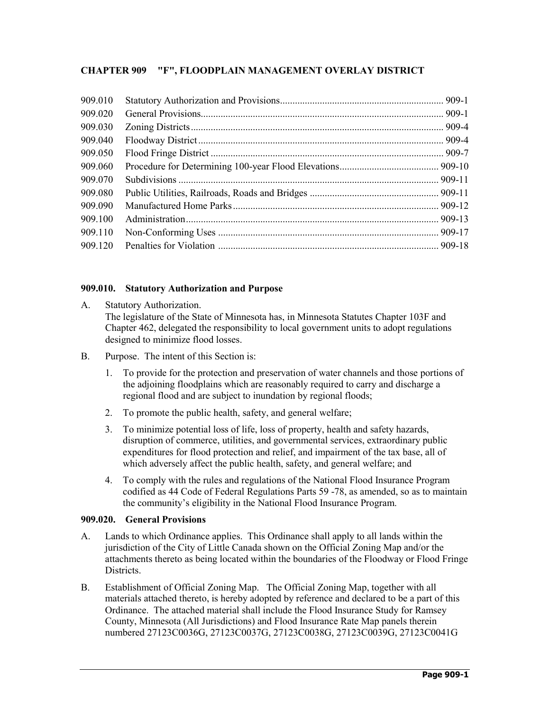# **CHAPTER 909 "F", FLOODPLAIN MANAGEMENT OVERLAY DISTRICT**

| 909.010 |  |
|---------|--|
| 909.020 |  |
| 909.030 |  |
| 909.040 |  |
| 909.050 |  |
| 909.060 |  |
| 909.070 |  |
| 909.080 |  |
| 909.090 |  |
| 909.100 |  |
| 909.110 |  |
| 909.120 |  |

## **909.010. Statutory Authorization and Purpose**

- A. Statutory Authorization. The legislature of the State of Minnesota has, in Minnesota Statutes Chapter 103F and Chapter 462, delegated the responsibility to local government units to adopt regulations designed to minimize flood losses.
- B. Purpose. The intent of this Section is:
	- 1. To provide for the protection and preservation of water channels and those portions of the adjoining floodplains which are reasonably required to carry and discharge a regional flood and are subject to inundation by regional floods;
	- 2. To promote the public health, safety, and general welfare;
	- 3. To minimize potential loss of life, loss of property, health and safety hazards, disruption of commerce, utilities, and governmental services, extraordinary public expenditures for flood protection and relief, and impairment of the tax base, all of which adversely affect the public health, safety, and general welfare; and
	- 4. To comply with the rules and regulations of the National Flood Insurance Program codified as 44 Code of Federal Regulations Parts 59 -78, as amended, so as to maintain the community's eligibility in the National Flood Insurance Program.

#### **909.020. General Provisions**

- A. Lands to which Ordinance applies. This Ordinance shall apply to all lands within the jurisdiction of the City of Little Canada shown on the Official Zoning Map and/or the attachments thereto as being located within the boundaries of the Floodway or Flood Fringe Districts.
- B. Establishment of Official Zoning Map. The Official Zoning Map, together with all materials attached thereto, is hereby adopted by reference and declared to be a part of this Ordinance. The attached material shall include the Flood Insurance Study for Ramsey County, Minnesota (All Jurisdictions) and Flood Insurance Rate Map panels therein numbered 27123C0036G, 27123C0037G, 27123C0038G, 27123C0039G, 27123C0041G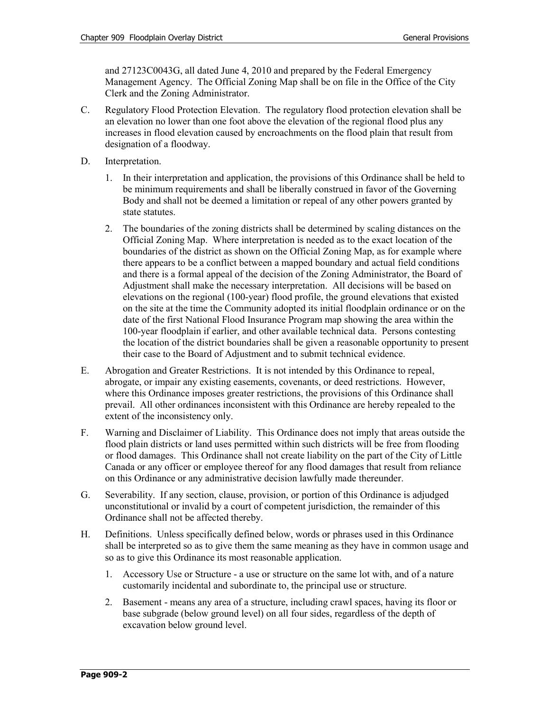and 27123C0043G, all dated June 4, 2010 and prepared by the Federal Emergency Management Agency. The Official Zoning Map shall be on file in the Office of the City Clerk and the Zoning Administrator.

- C. Regulatory Flood Protection Elevation. The regulatory flood protection elevation shall be an elevation no lower than one foot above the elevation of the regional flood plus any increases in flood elevation caused by encroachments on the flood plain that result from designation of a floodway.
- D. Interpretation.
	- 1. In their interpretation and application, the provisions of this Ordinance shall be held to be minimum requirements and shall be liberally construed in favor of the Governing Body and shall not be deemed a limitation or repeal of any other powers granted by state statutes.
	- 2. The boundaries of the zoning districts shall be determined by scaling distances on the Official Zoning Map. Where interpretation is needed as to the exact location of the boundaries of the district as shown on the Official Zoning Map, as for example where there appears to be a conflict between a mapped boundary and actual field conditions and there is a formal appeal of the decision of the Zoning Administrator, the Board of Adjustment shall make the necessary interpretation. All decisions will be based on elevations on the regional (100-year) flood profile, the ground elevations that existed on the site at the time the Community adopted its initial floodplain ordinance or on the date of the first National Flood Insurance Program map showing the area within the 100-year floodplain if earlier, and other available technical data. Persons contesting the location of the district boundaries shall be given a reasonable opportunity to present their case to the Board of Adjustment and to submit technical evidence.
- E. Abrogation and Greater Restrictions. It is not intended by this Ordinance to repeal, abrogate, or impair any existing easements, covenants, or deed restrictions. However, where this Ordinance imposes greater restrictions, the provisions of this Ordinance shall prevail. All other ordinances inconsistent with this Ordinance are hereby repealed to the extent of the inconsistency only.
- F. Warning and Disclaimer of Liability. This Ordinance does not imply that areas outside the flood plain districts or land uses permitted within such districts will be free from flooding or flood damages. This Ordinance shall not create liability on the part of the City of Little Canada or any officer or employee thereof for any flood damages that result from reliance on this Ordinance or any administrative decision lawfully made thereunder.
- G. Severability. If any section, clause, provision, or portion of this Ordinance is adjudged unconstitutional or invalid by a court of competent jurisdiction, the remainder of this Ordinance shall not be affected thereby.
- H. Definitions. Unless specifically defined below, words or phrases used in this Ordinance shall be interpreted so as to give them the same meaning as they have in common usage and so as to give this Ordinance its most reasonable application.
	- 1. Accessory Use or Structure a use or structure on the same lot with, and of a nature customarily incidental and subordinate to, the principal use or structure.
	- 2. Basement means any area of a structure, including crawl spaces, having its floor or base subgrade (below ground level) on all four sides, regardless of the depth of excavation below ground level.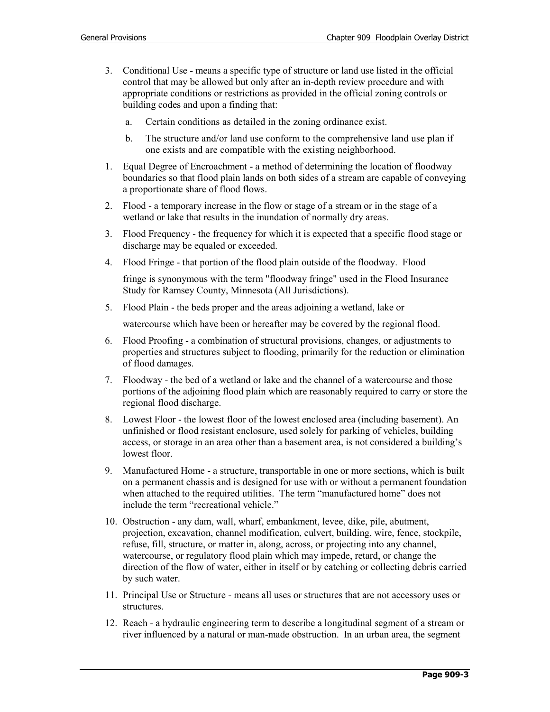- 3. Conditional Use means a specific type of structure or land use listed in the official control that may be allowed but only after an in-depth review procedure and with appropriate conditions or restrictions as provided in the official zoning controls or building codes and upon a finding that:
	- a. Certain conditions as detailed in the zoning ordinance exist.
	- b. The structure and/or land use conform to the comprehensive land use plan if one exists and are compatible with the existing neighborhood.
- 1. Equal Degree of Encroachment a method of determining the location of floodway boundaries so that flood plain lands on both sides of a stream are capable of conveying a proportionate share of flood flows.
- 2. Flood a temporary increase in the flow or stage of a stream or in the stage of a wetland or lake that results in the inundation of normally dry areas.
- 3. Flood Frequency the frequency for which it is expected that a specific flood stage or discharge may be equaled or exceeded.
- 4. Flood Fringe that portion of the flood plain outside of the floodway. Flood

fringe is synonymous with the term "floodway fringe" used in the Flood Insurance Study for Ramsey County, Minnesota (All Jurisdictions).

5. Flood Plain - the beds proper and the areas adjoining a wetland, lake or

watercourse which have been or hereafter may be covered by the regional flood.

- 6. Flood Proofing a combination of structural provisions, changes, or adjustments to properties and structures subject to flooding, primarily for the reduction or elimination of flood damages.
- 7. Floodway the bed of a wetland or lake and the channel of a watercourse and those portions of the adjoining flood plain which are reasonably required to carry or store the regional flood discharge.
- 8. Lowest Floor the lowest floor of the lowest enclosed area (including basement). An unfinished or flood resistant enclosure, used solely for parking of vehicles, building access, or storage in an area other than a basement area, is not considered a building's lowest floor.
- 9. Manufactured Home a structure, transportable in one or more sections, which is built on a permanent chassis and is designed for use with or without a permanent foundation when attached to the required utilities. The term "manufactured home" does not include the term "recreational vehicle."
- 10. Obstruction any dam, wall, wharf, embankment, levee, dike, pile, abutment, projection, excavation, channel modification, culvert, building, wire, fence, stockpile, refuse, fill, structure, or matter in, along, across, or projecting into any channel, watercourse, or regulatory flood plain which may impede, retard, or change the direction of the flow of water, either in itself or by catching or collecting debris carried by such water.
- 11. Principal Use or Structure means all uses or structures that are not accessory uses or structures.
- 12. Reach a hydraulic engineering term to describe a longitudinal segment of a stream or river influenced by a natural or man-made obstruction. In an urban area, the segment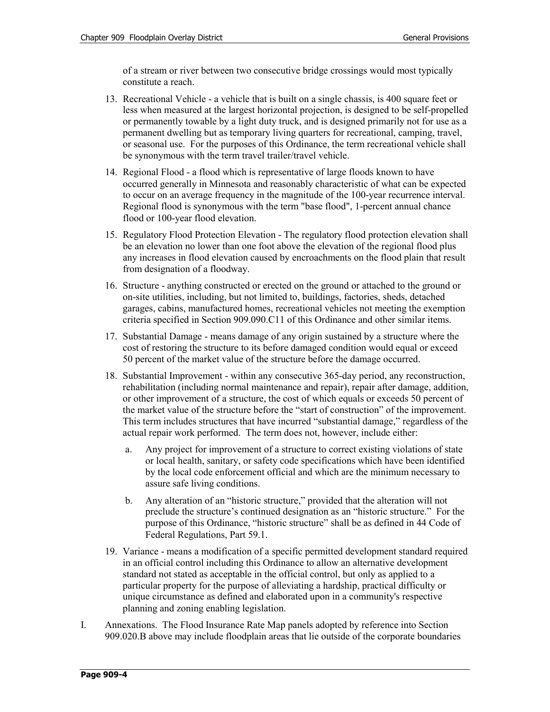of a stream or river between two consecutive bridge crossings would most typically constitute a reach.

- 13. Recreational Vehicle a vehicle that is built on a single chassis, is 400 square feet or less when measured at the largest horizontal projection, is designed to be self-propelled or permanently towable by a light duty truck, and is designed primarily not for use as a permanent dwelling but as temporary living quarters for recreational, camping, travel, or seasonal use. For the purposes of this Ordinance, the term recreational vehicle shall be synonymous with the term travel trailer/travel vehicle.
- 14. Regional Flood a flood which is representative of large floods known to have occurred generally in Minnesota and reasonably characteristic of what can be expected to occur on an average frequency in the magnitude of the 100-year recurrence interval. Regional flood is synonymous with the term "base flood", 1-percent annual chance flood or 100-year flood elevation.
- 15. Regulatory Flood Protection Elevation The regulatory flood protection elevation shall be an elevation no lower than one foot above the elevation of the regional flood plus any increases in flood elevation caused by encroachments on the flood plain that result from designation of a floodway.
- 16. Structure anything constructed or erected on the ground or attached to the ground or on-site utilities, including, but not limited to, buildings, factories, sheds, detached garages, cabins, manufactured homes, recreational vehicles not meeting the exemption criteria specified in Section 909.090.C11 of this Ordinance and other similar items.
- 17. Substantial Damage means damage of any origin sustained by a structure where the cost of restoring the structure to its before damaged condition would equal or exceed 50 percent of the market value of the structure before the damage occurred.
- 18. Substantial Improvement within any consecutive 365-day period, any reconstruction, rehabilitation (including normal maintenance and repair), repair after damage, addition, or other improvement of a structure, the cost of which equals or exceeds 50 percent of the market value of the structure before the "start of construction" of the improvement. This term includes structures that have incurred "substantial damage," regardless of the actual repair work performed. The term does not, however, include either:
	- a. Any project for improvement of a structure to correct existing violations of state or local health, sanitary, or safety code specifications which have been identified by the local code enforcement official and which are the minimum necessary to assure safe living conditions.
	- b. Any alteration of an "historic structure," provided that the alteration will not preclude the structure's continued designation as an "historic structure." For the purpose of this Ordinance, "historic structure" shall be as defined in 44 Code of Federal Regulations, Part 59.1.
- 19. Variance means a modification of a specific permitted development standard required in an official control including this Ordinance to allow an alternative development standard not stated as acceptable in the official control, but only as applied to a particular property for the purpose of alleviating a hardship, practical difficulty or unique circumstance as defined and elaborated upon in a community's respective planning and zoning enabling legislation.
- I. Annexations. The Flood Insurance Rate Map panels adopted by reference into Section 909.020.B above may include floodplain areas that lie outside of the corporate boundaries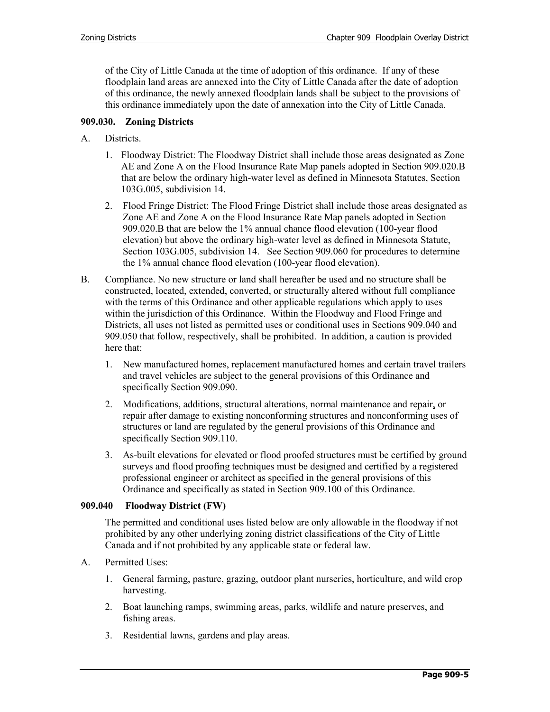of the City of Little Canada at the time of adoption of this ordinance. If any of these floodplain land areas are annexed into the City of Little Canada after the date of adoption of this ordinance, the newly annexed floodplain lands shall be subject to the provisions of this ordinance immediately upon the date of annexation into the City of Little Canada.

## **909.030. Zoning Districts**

- A. Districts.
	- 1. Floodway District: The Floodway District shall include those areas designated as Zone AE and Zone A on the Flood Insurance Rate Map panels adopted in Section 909.020.B that are below the ordinary high-water level as defined in Minnesota Statutes, Section 103G.005, subdivision 14.
	- 2. Flood Fringe District: The Flood Fringe District shall include those areas designated as Zone AE and Zone A on the Flood Insurance Rate Map panels adopted in Section 909.020.B that are below the 1% annual chance flood elevation (100-year flood elevation) but above the ordinary high-water level as defined in Minnesota Statute, Section 103G.005, subdivision 14. See Section 909.060 for procedures to determine the 1% annual chance flood elevation (100-year flood elevation).
- B. Compliance. No new structure or land shall hereafter be used and no structure shall be constructed, located, extended, converted, or structurally altered without full compliance with the terms of this Ordinance and other applicable regulations which apply to uses within the jurisdiction of this Ordinance. Within the Floodway and Flood Fringe and Districts, all uses not listed as permitted uses or conditional uses in Sections 909.040 and 909.050 that follow, respectively, shall be prohibited. In addition, a caution is provided here that:
	- 1. New manufactured homes, replacement manufactured homes and certain travel trailers and travel vehicles are subject to the general provisions of this Ordinance and specifically Section 909.090.
	- 2. Modifications, additions, structural alterations, normal maintenance and repair, or repair after damage to existing nonconforming structures and nonconforming uses of structures or land are regulated by the general provisions of this Ordinance and specifically Section 909.110.
	- 3. As-built elevations for elevated or flood proofed structures must be certified by ground surveys and flood proofing techniques must be designed and certified by a registered professional engineer or architect as specified in the general provisions of this Ordinance and specifically as stated in Section 909.100 of this Ordinance.

## **909.040 Floodway District (FW)**

The permitted and conditional uses listed below are only allowable in the floodway if not prohibited by any other underlying zoning district classifications of the City of Little Canada and if not prohibited by any applicable state or federal law.

- A. Permitted Uses:
	- 1. General farming, pasture, grazing, outdoor plant nurseries, horticulture, and wild crop harvesting.
	- 2. Boat launching ramps, swimming areas, parks, wildlife and nature preserves, and fishing areas.
	- 3. Residential lawns, gardens and play areas.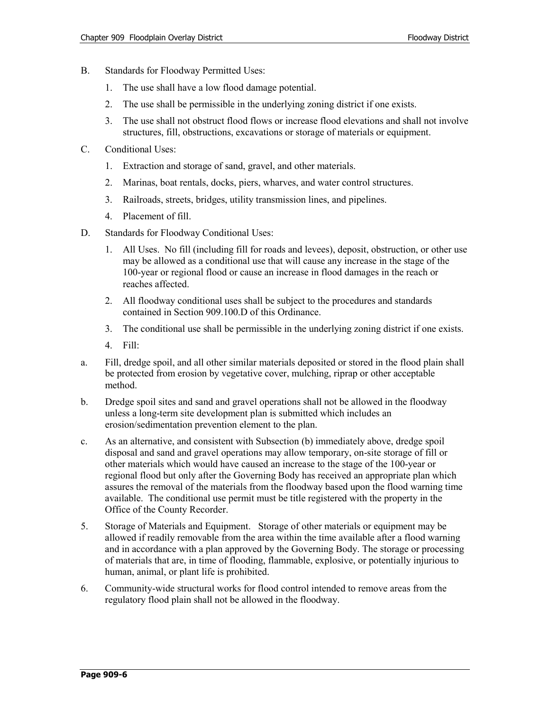- B. Standards for Floodway Permitted Uses:
	- 1. The use shall have a low flood damage potential.
	- 2. The use shall be permissible in the underlying zoning district if one exists.
	- 3. The use shall not obstruct flood flows or increase flood elevations and shall not involve structures, fill, obstructions, excavations or storage of materials or equipment.
- C. Conditional Uses:
	- 1. Extraction and storage of sand, gravel, and other materials.
	- 2. Marinas, boat rentals, docks, piers, wharves, and water control structures.
	- 3. Railroads, streets, bridges, utility transmission lines, and pipelines.
	- 4. Placement of fill.
- D. Standards for Floodway Conditional Uses:
	- 1. All Uses. No fill (including fill for roads and levees), deposit, obstruction, or other use may be allowed as a conditional use that will cause any increase in the stage of the 100-year or regional flood or cause an increase in flood damages in the reach or reaches affected.
	- 2. All floodway conditional uses shall be subject to the procedures and standards contained in Section 909.100.D of this Ordinance.
	- 3. The conditional use shall be permissible in the underlying zoning district if one exists.
	- 4. Fill:
- a. Fill, dredge spoil, and all other similar materials deposited or stored in the flood plain shall be protected from erosion by vegetative cover, mulching, riprap or other acceptable method.
- b. Dredge spoil sites and sand and gravel operations shall not be allowed in the floodway unless a long-term site development plan is submitted which includes an erosion/sedimentation prevention element to the plan.
- c. As an alternative, and consistent with Subsection (b) immediately above, dredge spoil disposal and sand and gravel operations may allow temporary, on-site storage of fill or other materials which would have caused an increase to the stage of the 100-year or regional flood but only after the Governing Body has received an appropriate plan which assures the removal of the materials from the floodway based upon the flood warning time available. The conditional use permit must be title registered with the property in the Office of the County Recorder.
- 5. Storage of Materials and Equipment. Storage of other materials or equipment may be allowed if readily removable from the area within the time available after a flood warning and in accordance with a plan approved by the Governing Body. The storage or processing of materials that are, in time of flooding, flammable, explosive, or potentially injurious to human, animal, or plant life is prohibited.
- 6. Community-wide structural works for flood control intended to remove areas from the regulatory flood plain shall not be allowed in the floodway.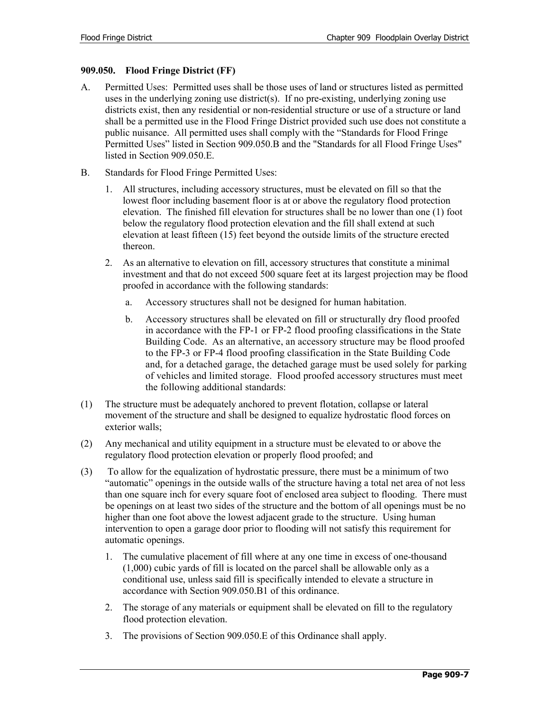## **909.050. Flood Fringe District (FF)**

- A. Permitted Uses: Permitted uses shall be those uses of land or structures listed as permitted uses in the underlying zoning use district(s). If no pre-existing, underlying zoning use districts exist, then any residential or non-residential structure or use of a structure or land shall be a permitted use in the Flood Fringe District provided such use does not constitute a public nuisance. All permitted uses shall comply with the "Standards for Flood Fringe Permitted Uses" listed in Section 909.050.B and the "Standards for all Flood Fringe Uses" listed in Section 909.050.E.
- B. Standards for Flood Fringe Permitted Uses:
	- 1. All structures, including accessory structures, must be elevated on fill so that the lowest floor including basement floor is at or above the regulatory flood protection elevation. The finished fill elevation for structures shall be no lower than one (1) foot below the regulatory flood protection elevation and the fill shall extend at such elevation at least fifteen (15) feet beyond the outside limits of the structure erected thereon.
	- 2. As an alternative to elevation on fill, accessory structures that constitute a minimal investment and that do not exceed 500 square feet at its largest projection may be flood proofed in accordance with the following standards:
		- a. Accessory structures shall not be designed for human habitation.
		- b. Accessory structures shall be elevated on fill or structurally dry flood proofed in accordance with the FP-1 or FP-2 flood proofing classifications in the State Building Code. As an alternative, an accessory structure may be flood proofed to the FP-3 or FP-4 flood proofing classification in the State Building Code and, for a detached garage, the detached garage must be used solely for parking of vehicles and limited storage. Flood proofed accessory structures must meet the following additional standards:
- (1) The structure must be adequately anchored to prevent flotation, collapse or lateral movement of the structure and shall be designed to equalize hydrostatic flood forces on exterior walls;
- (2) Any mechanical and utility equipment in a structure must be elevated to or above the regulatory flood protection elevation or properly flood proofed; and
- (3) To allow for the equalization of hydrostatic pressure, there must be a minimum of two "automatic" openings in the outside walls of the structure having a total net area of not less than one square inch for every square foot of enclosed area subject to flooding. There must be openings on at least two sides of the structure and the bottom of all openings must be no higher than one foot above the lowest adjacent grade to the structure. Using human intervention to open a garage door prior to flooding will not satisfy this requirement for automatic openings.
	- 1. The cumulative placement of fill where at any one time in excess of one-thousand (1,000) cubic yards of fill is located on the parcel shall be allowable only as a conditional use, unless said fill is specifically intended to elevate a structure in accordance with Section 909.050.B1 of this ordinance.
	- 2. The storage of any materials or equipment shall be elevated on fill to the regulatory flood protection elevation.
	- 3. The provisions of Section 909.050.E of this Ordinance shall apply.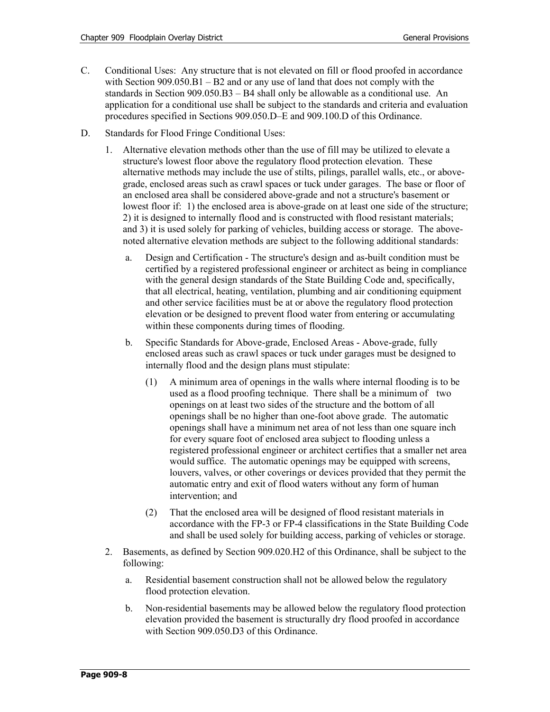- C. Conditional Uses: Any structure that is not elevated on fill or flood proofed in accordance with Section 909.050.B1 – B2 and or any use of land that does not comply with the standards in Section 909.050.B3 – B4 shall only be allowable as a conditional use. An application for a conditional use shall be subject to the standards and criteria and evaluation procedures specified in Sections 909.050.D–E and 909.100.D of this Ordinance.
- D. Standards for Flood Fringe Conditional Uses:
	- 1. Alternative elevation methods other than the use of fill may be utilized to elevate a structure's lowest floor above the regulatory flood protection elevation. These alternative methods may include the use of stilts, pilings, parallel walls, etc., or abovegrade, enclosed areas such as crawl spaces or tuck under garages. The base or floor of an enclosed area shall be considered above-grade and not a structure's basement or lowest floor if: 1) the enclosed area is above-grade on at least one side of the structure; 2) it is designed to internally flood and is constructed with flood resistant materials; and 3) it is used solely for parking of vehicles, building access or storage. The abovenoted alternative elevation methods are subject to the following additional standards:
		- a. Design and Certification The structure's design and as-built condition must be certified by a registered professional engineer or architect as being in compliance with the general design standards of the State Building Code and, specifically, that all electrical, heating, ventilation, plumbing and air conditioning equipment and other service facilities must be at or above the regulatory flood protection elevation or be designed to prevent flood water from entering or accumulating within these components during times of flooding.
		- b. Specific Standards for Above-grade, Enclosed Areas Above-grade, fully enclosed areas such as crawl spaces or tuck under garages must be designed to internally flood and the design plans must stipulate:
			- (1) A minimum area of openings in the walls where internal flooding is to be used as a flood proofing technique. There shall be a minimum of two openings on at least two sides of the structure and the bottom of all openings shall be no higher than one-foot above grade. The automatic openings shall have a minimum net area of not less than one square inch for every square foot of enclosed area subject to flooding unless a registered professional engineer or architect certifies that a smaller net area would suffice. The automatic openings may be equipped with screens, louvers, valves, or other coverings or devices provided that they permit the automatic entry and exit of flood waters without any form of human intervention; and
			- (2) That the enclosed area will be designed of flood resistant materials in accordance with the FP-3 or FP-4 classifications in the State Building Code and shall be used solely for building access, parking of vehicles or storage.
	- 2. Basements, as defined by Section 909.020.H2 of this Ordinance, shall be subject to the following:
		- a. Residential basement construction shall not be allowed below the regulatory flood protection elevation.
		- b. Non-residential basements may be allowed below the regulatory flood protection elevation provided the basement is structurally dry flood proofed in accordance with Section 909.050.D3 of this Ordinance.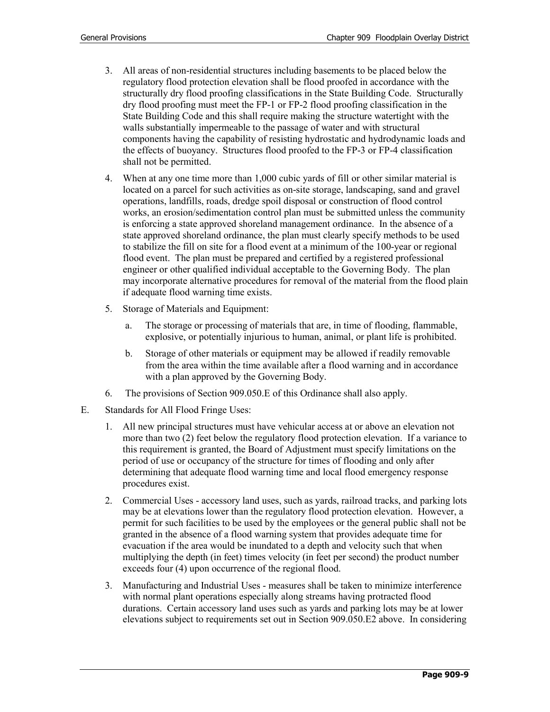- 3. All areas of non-residential structures including basements to be placed below the regulatory flood protection elevation shall be flood proofed in accordance with the structurally dry flood proofing classifications in the State Building Code. Structurally dry flood proofing must meet the FP-1 or FP-2 flood proofing classification in the State Building Code and this shall require making the structure watertight with the walls substantially impermeable to the passage of water and with structural components having the capability of resisting hydrostatic and hydrodynamic loads and the effects of buoyancy. Structures flood proofed to the FP-3 or FP-4 classification shall not be permitted.
- 4. When at any one time more than 1,000 cubic yards of fill or other similar material is located on a parcel for such activities as on-site storage, landscaping, sand and gravel operations, landfills, roads, dredge spoil disposal or construction of flood control works, an erosion/sedimentation control plan must be submitted unless the community is enforcing a state approved shoreland management ordinance. In the absence of a state approved shoreland ordinance, the plan must clearly specify methods to be used to stabilize the fill on site for a flood event at a minimum of the 100-year or regional flood event. The plan must be prepared and certified by a registered professional engineer or other qualified individual acceptable to the Governing Body. The plan may incorporate alternative procedures for removal of the material from the flood plain if adequate flood warning time exists.
- 5. Storage of Materials and Equipment:
	- a. The storage or processing of materials that are, in time of flooding, flammable, explosive, or potentially injurious to human, animal, or plant life is prohibited.
	- b. Storage of other materials or equipment may be allowed if readily removable from the area within the time available after a flood warning and in accordance with a plan approved by the Governing Body.
- 6. The provisions of Section 909.050.E of this Ordinance shall also apply.
- E. Standards for All Flood Fringe Uses:
	- 1. All new principal structures must have vehicular access at or above an elevation not more than two (2) feet below the regulatory flood protection elevation. If a variance to this requirement is granted, the Board of Adjustment must specify limitations on the period of use or occupancy of the structure for times of flooding and only after determining that adequate flood warning time and local flood emergency response procedures exist.
	- 2. Commercial Uses accessory land uses, such as yards, railroad tracks, and parking lots may be at elevations lower than the regulatory flood protection elevation. However, a permit for such facilities to be used by the employees or the general public shall not be granted in the absence of a flood warning system that provides adequate time for evacuation if the area would be inundated to a depth and velocity such that when multiplying the depth (in feet) times velocity (in feet per second) the product number exceeds four (4) upon occurrence of the regional flood.
	- 3. Manufacturing and Industrial Uses measures shall be taken to minimize interference with normal plant operations especially along streams having protracted flood durations. Certain accessory land uses such as yards and parking lots may be at lower elevations subject to requirements set out in Section 909.050.E2 above. In considering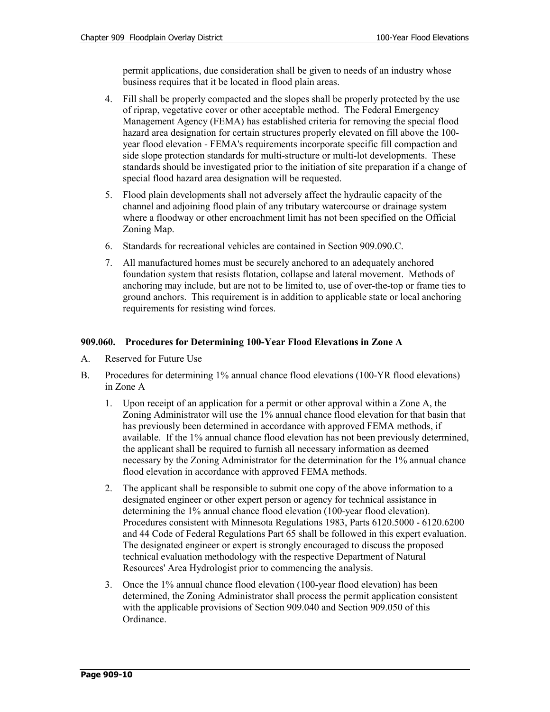permit applications, due consideration shall be given to needs of an industry whose business requires that it be located in flood plain areas.

- 4. Fill shall be properly compacted and the slopes shall be properly protected by the use of riprap, vegetative cover or other acceptable method. The Federal Emergency Management Agency (FEMA) has established criteria for removing the special flood hazard area designation for certain structures properly elevated on fill above the 100 year flood elevation - FEMA's requirements incorporate specific fill compaction and side slope protection standards for multi-structure or multi-lot developments. These standards should be investigated prior to the initiation of site preparation if a change of special flood hazard area designation will be requested.
- 5. Flood plain developments shall not adversely affect the hydraulic capacity of the channel and adjoining flood plain of any tributary watercourse or drainage system where a floodway or other encroachment limit has not been specified on the Official Zoning Map.
- 6. Standards for recreational vehicles are contained in Section 909.090.C.
- 7. All manufactured homes must be securely anchored to an adequately anchored foundation system that resists flotation, collapse and lateral movement. Methods of anchoring may include, but are not to be limited to, use of over-the-top or frame ties to ground anchors. This requirement is in addition to applicable state or local anchoring requirements for resisting wind forces.

## **909.060. Procedures for Determining 100-Year Flood Elevations in Zone A**

- A. Reserved for Future Use
- B. Procedures for determining 1% annual chance flood elevations (100-YR flood elevations) in Zone A
	- 1. Upon receipt of an application for a permit or other approval within a Zone A, the Zoning Administrator will use the 1% annual chance flood elevation for that basin that has previously been determined in accordance with approved FEMA methods, if available. If the 1% annual chance flood elevation has not been previously determined, the applicant shall be required to furnish all necessary information as deemed necessary by the Zoning Administrator for the determination for the 1% annual chance flood elevation in accordance with approved FEMA methods.
	- 2. The applicant shall be responsible to submit one copy of the above information to a designated engineer or other expert person or agency for technical assistance in determining the 1% annual chance flood elevation (100-year flood elevation). Procedures consistent with Minnesota Regulations 1983, Parts 6120.5000 - 6120.6200 and 44 Code of Federal Regulations Part 65 shall be followed in this expert evaluation. The designated engineer or expert is strongly encouraged to discuss the proposed technical evaluation methodology with the respective Department of Natural Resources' Area Hydrologist prior to commencing the analysis.
	- 3. Once the 1% annual chance flood elevation (100-year flood elevation) has been determined, the Zoning Administrator shall process the permit application consistent with the applicable provisions of Section 909.040 and Section 909.050 of this Ordinance.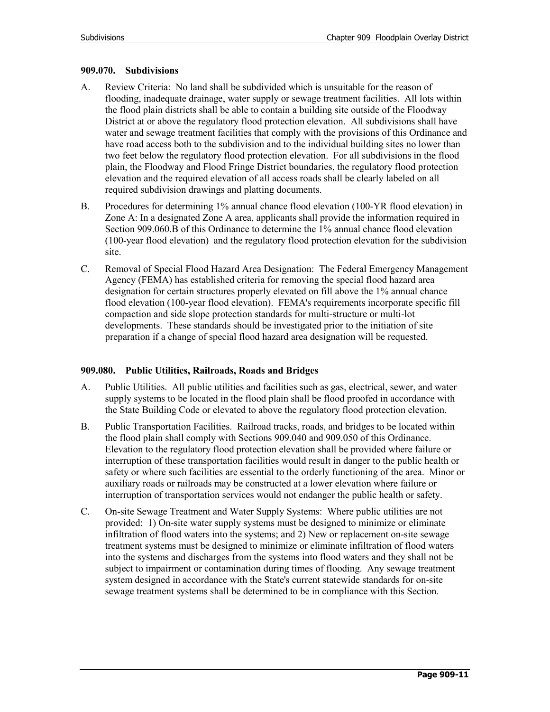### **909.070. Subdivisions**

- A. Review Criteria: No land shall be subdivided which is unsuitable for the reason of flooding, inadequate drainage, water supply or sewage treatment facilities. All lots within the flood plain districts shall be able to contain a building site outside of the Floodway District at or above the regulatory flood protection elevation. All subdivisions shall have water and sewage treatment facilities that comply with the provisions of this Ordinance and have road access both to the subdivision and to the individual building sites no lower than two feet below the regulatory flood protection elevation. For all subdivisions in the flood plain, the Floodway and Flood Fringe District boundaries, the regulatory flood protection elevation and the required elevation of all access roads shall be clearly labeled on all required subdivision drawings and platting documents.
- B. Procedures for determining 1% annual chance flood elevation (100-YR flood elevation) in Zone A: In a designated Zone A area, applicants shall provide the information required in Section 909.060.B of this Ordinance to determine the 1% annual chance flood elevation (100-year flood elevation) and the regulatory flood protection elevation for the subdivision site.
- C. Removal of Special Flood Hazard Area Designation: The Federal Emergency Management Agency (FEMA) has established criteria for removing the special flood hazard area designation for certain structures properly elevated on fill above the 1% annual chance flood elevation (100-year flood elevation). FEMA's requirements incorporate specific fill compaction and side slope protection standards for multi-structure or multi-lot developments. These standards should be investigated prior to the initiation of site preparation if a change of special flood hazard area designation will be requested.

## **909.080. Public Utilities, Railroads, Roads and Bridges**

- A. Public Utilities. All public utilities and facilities such as gas, electrical, sewer, and water supply systems to be located in the flood plain shall be flood proofed in accordance with the State Building Code or elevated to above the regulatory flood protection elevation.
- B. Public Transportation Facilities. Railroad tracks, roads, and bridges to be located within the flood plain shall comply with Sections 909.040 and 909.050 of this Ordinance. Elevation to the regulatory flood protection elevation shall be provided where failure or interruption of these transportation facilities would result in danger to the public health or safety or where such facilities are essential to the orderly functioning of the area. Minor or auxiliary roads or railroads may be constructed at a lower elevation where failure or interruption of transportation services would not endanger the public health or safety.
- C. On-site Sewage Treatment and Water Supply Systems: Where public utilities are not provided: 1) On-site water supply systems must be designed to minimize or eliminate infiltration of flood waters into the systems; and 2) New or replacement on-site sewage treatment systems must be designed to minimize or eliminate infiltration of flood waters into the systems and discharges from the systems into flood waters and they shall not be subject to impairment or contamination during times of flooding. Any sewage treatment system designed in accordance with the State's current statewide standards for on-site sewage treatment systems shall be determined to be in compliance with this Section.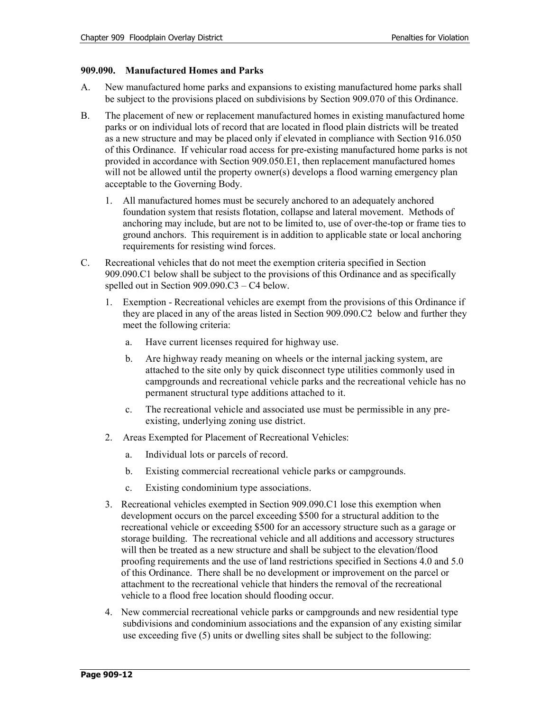## **909.090. Manufactured Homes and Parks**

- A. New manufactured home parks and expansions to existing manufactured home parks shall be subject to the provisions placed on subdivisions by Section 909.070 of this Ordinance.
- B. The placement of new or replacement manufactured homes in existing manufactured home parks or on individual lots of record that are located in flood plain districts will be treated as a new structure and may be placed only if elevated in compliance with Section 916.050 of this Ordinance. If vehicular road access for pre-existing manufactured home parks is not provided in accordance with Section 909.050.E1, then replacement manufactured homes will not be allowed until the property owner(s) develops a flood warning emergency plan acceptable to the Governing Body.
	- 1. All manufactured homes must be securely anchored to an adequately anchored foundation system that resists flotation, collapse and lateral movement. Methods of anchoring may include, but are not to be limited to, use of over-the-top or frame ties to ground anchors. This requirement is in addition to applicable state or local anchoring requirements for resisting wind forces.
- C. Recreational vehicles that do not meet the exemption criteria specified in Section 909.090.C1 below shall be subject to the provisions of this Ordinance and as specifically spelled out in Section 909.090.C3 – C4 below.
	- 1. Exemption Recreational vehicles are exempt from the provisions of this Ordinance if they are placed in any of the areas listed in Section 909.090.C2 below and further they meet the following criteria:
		- a. Have current licenses required for highway use.
		- b. Are highway ready meaning on wheels or the internal jacking system, are attached to the site only by quick disconnect type utilities commonly used in campgrounds and recreational vehicle parks and the recreational vehicle has no permanent structural type additions attached to it.
		- c. The recreational vehicle and associated use must be permissible in any preexisting, underlying zoning use district.
	- 2. Areas Exempted for Placement of Recreational Vehicles:
		- a. Individual lots or parcels of record.
		- b. Existing commercial recreational vehicle parks or campgrounds.
		- c. Existing condominium type associations.
	- 3. Recreational vehicles exempted in Section 909.090.C1 lose this exemption when development occurs on the parcel exceeding \$500 for a structural addition to the recreational vehicle or exceeding \$500 for an accessory structure such as a garage or storage building. The recreational vehicle and all additions and accessory structures will then be treated as a new structure and shall be subject to the elevation/flood proofing requirements and the use of land restrictions specified in Sections 4.0 and 5.0 of this Ordinance. There shall be no development or improvement on the parcel or attachment to the recreational vehicle that hinders the removal of the recreational vehicle to a flood free location should flooding occur.
	- 4. New commercial recreational vehicle parks or campgrounds and new residential type subdivisions and condominium associations and the expansion of any existing similar use exceeding five (5) units or dwelling sites shall be subject to the following: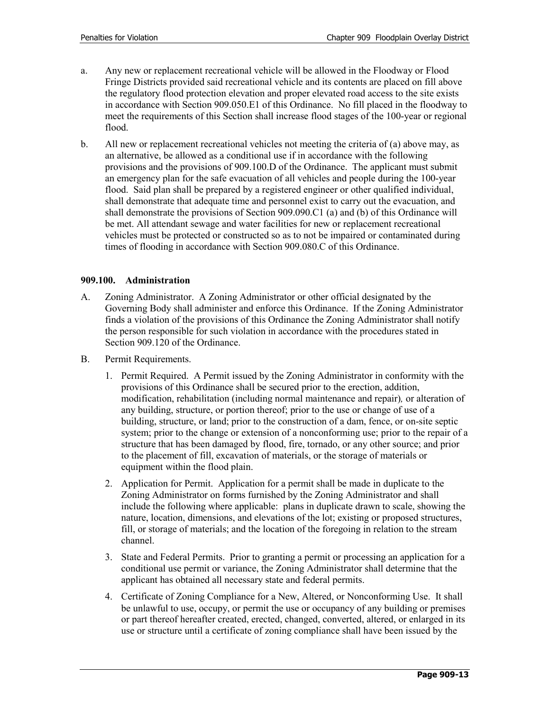- a. Any new or replacement recreational vehicle will be allowed in the Floodway or Flood Fringe Districts provided said recreational vehicle and its contents are placed on fill above the regulatory flood protection elevation and proper elevated road access to the site exists in accordance with Section 909.050.E1 of this Ordinance. No fill placed in the floodway to meet the requirements of this Section shall increase flood stages of the 100-year or regional flood.
- b. All new or replacement recreational vehicles not meeting the criteria of (a) above may, as an alternative, be allowed as a conditional use if in accordance with the following provisions and the provisions of 909.100.D of the Ordinance. The applicant must submit an emergency plan for the safe evacuation of all vehicles and people during the 100-year flood. Said plan shall be prepared by a registered engineer or other qualified individual, shall demonstrate that adequate time and personnel exist to carry out the evacuation, and shall demonstrate the provisions of Section 909.090.C1 (a) and (b) of this Ordinance will be met. All attendant sewage and water facilities for new or replacement recreational vehicles must be protected or constructed so as to not be impaired or contaminated during times of flooding in accordance with Section 909.080.C of this Ordinance.

## **909.100. Administration**

- A. Zoning Administrator. A Zoning Administrator or other official designated by the Governing Body shall administer and enforce this Ordinance. If the Zoning Administrator finds a violation of the provisions of this Ordinance the Zoning Administrator shall notify the person responsible for such violation in accordance with the procedures stated in Section 909.120 of the Ordinance.
- B. Permit Requirements.
	- 1. Permit Required. A Permit issued by the Zoning Administrator in conformity with the provisions of this Ordinance shall be secured prior to the erection, addition, modification, rehabilitation (including normal maintenance and repair)*,* or alteration of any building, structure, or portion thereof; prior to the use or change of use of a building, structure, or land; prior to the construction of a dam, fence, or on-site septic system; prior to the change or extension of a nonconforming use; prior to the repair of a structure that has been damaged by flood, fire, tornado, or any other source; and prior to the placement of fill, excavation of materials, or the storage of materials or equipment within the flood plain.
	- 2. Application for Permit. Application for a permit shall be made in duplicate to the Zoning Administrator on forms furnished by the Zoning Administrator and shall include the following where applicable: plans in duplicate drawn to scale, showing the nature, location, dimensions, and elevations of the lot; existing or proposed structures, fill, or storage of materials; and the location of the foregoing in relation to the stream channel.
	- 3. State and Federal Permits. Prior to granting a permit or processing an application for a conditional use permit or variance, the Zoning Administrator shall determine that the applicant has obtained all necessary state and federal permits.
	- 4. Certificate of Zoning Compliance for a New, Altered, or Nonconforming Use. It shall be unlawful to use, occupy, or permit the use or occupancy of any building or premises or part thereof hereafter created, erected, changed, converted, altered, or enlarged in its use or structure until a certificate of zoning compliance shall have been issued by the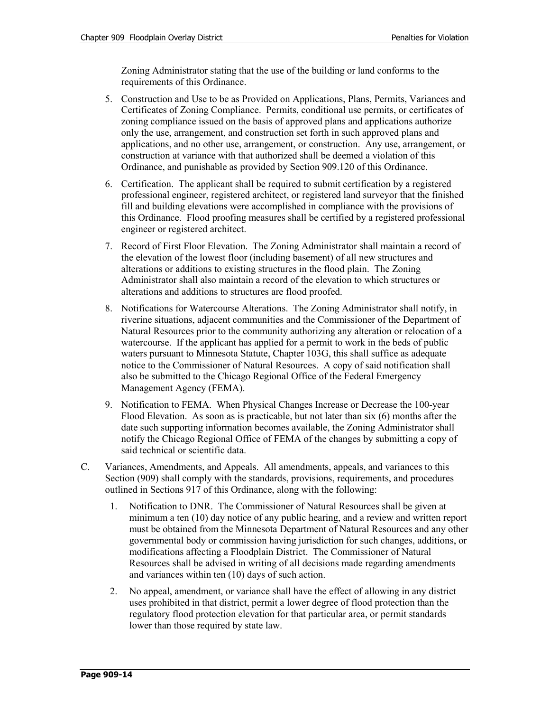Zoning Administrator stating that the use of the building or land conforms to the requirements of this Ordinance.

- 5. Construction and Use to be as Provided on Applications, Plans, Permits, Variances and Certificates of Zoning Compliance. Permits, conditional use permits, or certificates of zoning compliance issued on the basis of approved plans and applications authorize only the use, arrangement, and construction set forth in such approved plans and applications, and no other use, arrangement, or construction. Any use, arrangement, or construction at variance with that authorized shall be deemed a violation of this Ordinance, and punishable as provided by Section 909.120 of this Ordinance.
- 6. Certification. The applicant shall be required to submit certification by a registered professional engineer, registered architect, or registered land surveyor that the finished fill and building elevations were accomplished in compliance with the provisions of this Ordinance. Flood proofing measures shall be certified by a registered professional engineer or registered architect.
- 7. Record of First Floor Elevation. The Zoning Administrator shall maintain a record of the elevation of the lowest floor (including basement) of all new structures and alterations or additions to existing structures in the flood plain. The Zoning Administrator shall also maintain a record of the elevation to which structures or alterations and additions to structures are flood proofed.
- 8. Notifications for Watercourse Alterations. The Zoning Administrator shall notify, in riverine situations, adjacent communities and the Commissioner of the Department of Natural Resources prior to the community authorizing any alteration or relocation of a watercourse. If the applicant has applied for a permit to work in the beds of public waters pursuant to Minnesota Statute, Chapter 103G, this shall suffice as adequate notice to the Commissioner of Natural Resources. A copy of said notification shall also be submitted to the Chicago Regional Office of the Federal Emergency Management Agency (FEMA).
- 9. Notification to FEMA. When Physical Changes Increase or Decrease the 100-year Flood Elevation. As soon as is practicable, but not later than six (6) months after the date such supporting information becomes available, the Zoning Administrator shall notify the Chicago Regional Office of FEMA of the changes by submitting a copy of said technical or scientific data.
- C. Variances, Amendments, and Appeals. All amendments, appeals, and variances to this Section (909) shall comply with the standards, provisions, requirements, and procedures outlined in Sections 917 of this Ordinance, along with the following:
	- 1. Notification to DNR. The Commissioner of Natural Resources shall be given at minimum a ten (10) day notice of any public hearing, and a review and written report must be obtained from the Minnesota Department of Natural Resources and any other governmental body or commission having jurisdiction for such changes, additions, or modifications affecting a Floodplain District. The Commissioner of Natural Resources shall be advised in writing of all decisions made regarding amendments and variances within ten (10) days of such action.
	- 2. No appeal, amendment, or variance shall have the effect of allowing in any district uses prohibited in that district, permit a lower degree of flood protection than the regulatory flood protection elevation for that particular area, or permit standards lower than those required by state law.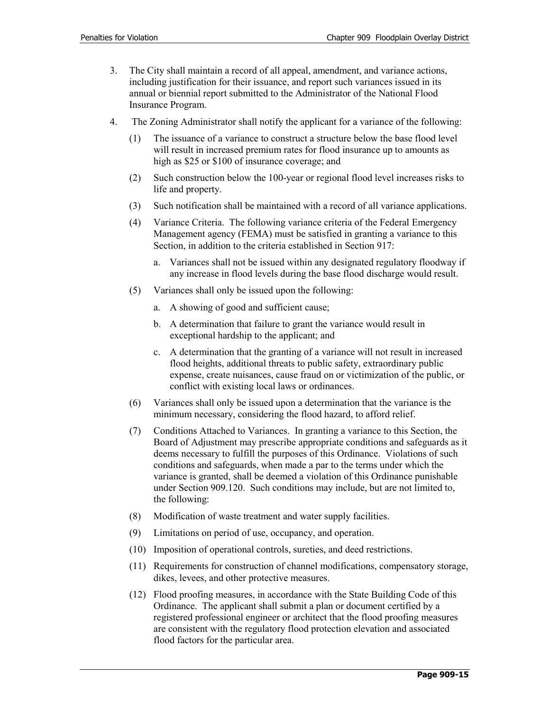- 3. The City shall maintain a record of all appeal, amendment, and variance actions, including justification for their issuance, and report such variances issued in its annual or biennial report submitted to the Administrator of the National Flood Insurance Program.
- 4. The Zoning Administrator shall notify the applicant for a variance of the following:
	- (1) The issuance of a variance to construct a structure below the base flood level will result in increased premium rates for flood insurance up to amounts as high as \$25 or \$100 of insurance coverage; and
	- (2) Such construction below the 100-year or regional flood level increases risks to life and property.
	- (3) Such notification shall be maintained with a record of all variance applications.
	- (4) Variance Criteria. The following variance criteria of the Federal Emergency Management agency (FEMA) must be satisfied in granting a variance to this Section, in addition to the criteria established in Section 917:
		- a. Variances shall not be issued within any designated regulatory floodway if any increase in flood levels during the base flood discharge would result.
	- (5) Variances shall only be issued upon the following:
		- a. A showing of good and sufficient cause;
		- b. A determination that failure to grant the variance would result in exceptional hardship to the applicant; and
		- c. A determination that the granting of a variance will not result in increased flood heights, additional threats to public safety, extraordinary public expense, create nuisances, cause fraud on or victimization of the public, or conflict with existing local laws or ordinances.
	- (6) Variances shall only be issued upon a determination that the variance is the minimum necessary, considering the flood hazard, to afford relief.
	- (7) Conditions Attached to Variances. In granting a variance to this Section, the Board of Adjustment may prescribe appropriate conditions and safeguards as it deems necessary to fulfill the purposes of this Ordinance. Violations of such conditions and safeguards, when made a par to the terms under which the variance is granted, shall be deemed a violation of this Ordinance punishable under Section 909.120. Such conditions may include, but are not limited to, the following:
	- (8) Modification of waste treatment and water supply facilities.
	- (9) Limitations on period of use, occupancy, and operation.
	- (10) Imposition of operational controls, sureties, and deed restrictions.
	- (11) Requirements for construction of channel modifications, compensatory storage, dikes, levees, and other protective measures.
	- (12) Flood proofing measures, in accordance with the State Building Code of this Ordinance. The applicant shall submit a plan or document certified by a registered professional engineer or architect that the flood proofing measures are consistent with the regulatory flood protection elevation and associated flood factors for the particular area.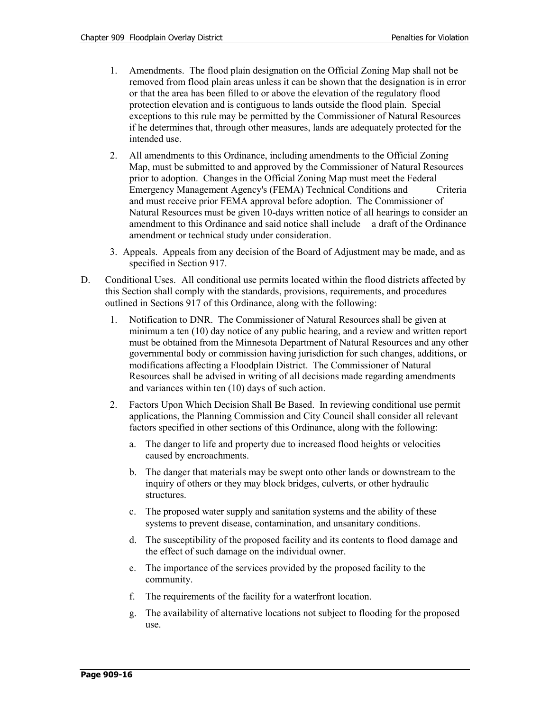- 1. Amendments. The flood plain designation on the Official Zoning Map shall not be removed from flood plain areas unless it can be shown that the designation is in error or that the area has been filled to or above the elevation of the regulatory flood protection elevation and is contiguous to lands outside the flood plain. Special exceptions to this rule may be permitted by the Commissioner of Natural Resources if he determines that, through other measures, lands are adequately protected for the intended use.
- 2. All amendments to this Ordinance, including amendments to the Official Zoning Map, must be submitted to and approved by the Commissioner of Natural Resources prior to adoption. Changes in the Official Zoning Map must meet the Federal Emergency Management Agency's (FEMA) Technical Conditions and Criteria and must receive prior FEMA approval before adoption. The Commissioner of Natural Resources must be given 10-days written notice of all hearings to consider an amendment to this Ordinance and said notice shall include a draft of the Ordinance amendment or technical study under consideration.
- 3. Appeals. Appeals from any decision of the Board of Adjustment may be made, and as specified in Section 917.
- D. Conditional Uses. All conditional use permits located within the flood districts affected by this Section shall comply with the standards, provisions, requirements, and procedures outlined in Sections 917 of this Ordinance, along with the following:
	- 1. Notification to DNR. The Commissioner of Natural Resources shall be given at minimum a ten (10) day notice of any public hearing, and a review and written report must be obtained from the Minnesota Department of Natural Resources and any other governmental body or commission having jurisdiction for such changes, additions, or modifications affecting a Floodplain District. The Commissioner of Natural Resources shall be advised in writing of all decisions made regarding amendments and variances within ten (10) days of such action.
	- 2. Factors Upon Which Decision Shall Be Based. In reviewing conditional use permit applications, the Planning Commission and City Council shall consider all relevant factors specified in other sections of this Ordinance, along with the following:
		- a. The danger to life and property due to increased flood heights or velocities caused by encroachments.
		- b. The danger that materials may be swept onto other lands or downstream to the inquiry of others or they may block bridges, culverts, or other hydraulic structures.
		- c. The proposed water supply and sanitation systems and the ability of these systems to prevent disease, contamination, and unsanitary conditions.
		- d. The susceptibility of the proposed facility and its contents to flood damage and the effect of such damage on the individual owner.
		- e. The importance of the services provided by the proposed facility to the community.
		- f. The requirements of the facility for a waterfront location.
		- g. The availability of alternative locations not subject to flooding for the proposed use.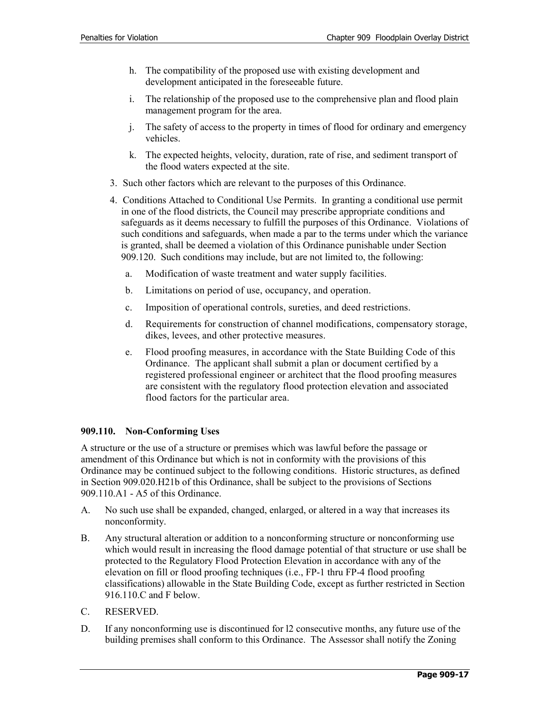- h. The compatibility of the proposed use with existing development and development anticipated in the foreseeable future.
- i. The relationship of the proposed use to the comprehensive plan and flood plain management program for the area.
- j. The safety of access to the property in times of flood for ordinary and emergency vehicles.
- k. The expected heights, velocity, duration, rate of rise, and sediment transport of the flood waters expected at the site.
- 3. Such other factors which are relevant to the purposes of this Ordinance.
- 4. Conditions Attached to Conditional Use Permits. In granting a conditional use permit in one of the flood districts, the Council may prescribe appropriate conditions and safeguards as it deems necessary to fulfill the purposes of this Ordinance. Violations of such conditions and safeguards, when made a par to the terms under which the variance is granted, shall be deemed a violation of this Ordinance punishable under Section 909.120. Such conditions may include, but are not limited to, the following:
	- a. Modification of waste treatment and water supply facilities.
	- b. Limitations on period of use, occupancy, and operation.
	- c. Imposition of operational controls, sureties, and deed restrictions.
	- d. Requirements for construction of channel modifications, compensatory storage, dikes, levees, and other protective measures.
	- e. Flood proofing measures, in accordance with the State Building Code of this Ordinance. The applicant shall submit a plan or document certified by a registered professional engineer or architect that the flood proofing measures are consistent with the regulatory flood protection elevation and associated flood factors for the particular area.

## **909.110. Non-Conforming Uses**

A structure or the use of a structure or premises which was lawful before the passage or amendment of this Ordinance but which is not in conformity with the provisions of this Ordinance may be continued subject to the following conditions. Historic structures, as defined in Section 909.020.H21b of this Ordinance, shall be subject to the provisions of Sections 909.110.A1 - A5 of this Ordinance.

- A. No such use shall be expanded, changed, enlarged, or altered in a way that increases its nonconformity.
- B. Any structural alteration or addition to a nonconforming structure or nonconforming use which would result in increasing the flood damage potential of that structure or use shall be protected to the Regulatory Flood Protection Elevation in accordance with any of the elevation on fill or flood proofing techniques (i.e., FP-1 thru FP-4 flood proofing classifications) allowable in the State Building Code, except as further restricted in Section 916.110.C and F below.
- C. RESERVED.
- D. If any nonconforming use is discontinued for l2 consecutive months, any future use of the building premises shall conform to this Ordinance. The Assessor shall notify the Zoning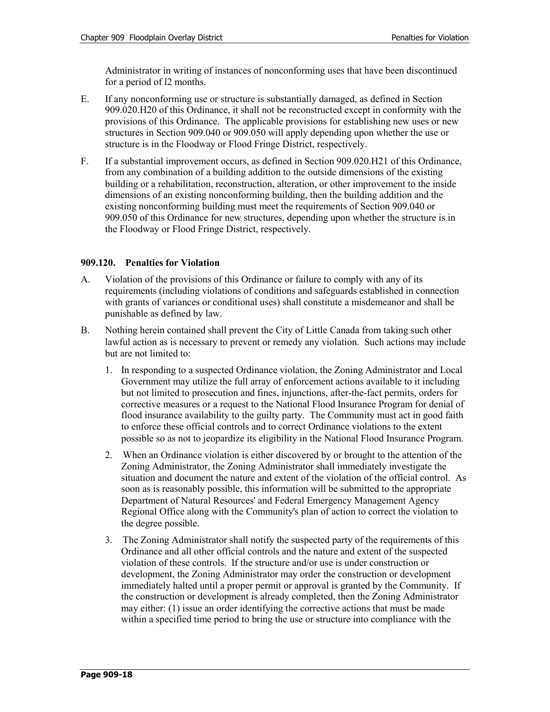Administrator in writing of instances of nonconforming uses that have been discontinued for a period of l2 months.

- E. If any nonconforming use or structure is substantially damaged, as defined in Section 909.020.H20 of this Ordinance, it shall not be reconstructed except in conformity with the provisions of this Ordinance. The applicable provisions for establishing new uses or new structures in Section 909.040 or 909.050 will apply depending upon whether the use or structure is in the Floodway or Flood Fringe District, respectively.
- F. If a substantial improvement occurs, as defined in Section 909.020.H21 of this Ordinance, from any combination of a building addition to the outside dimensions of the existing building or a rehabilitation, reconstruction, alteration, or other improvement to the inside dimensions of an existing nonconforming building, then the building addition and the existing nonconforming building must meet the requirements of Section 909.040 or 909.050 of this Ordinance for new structures, depending upon whether the structure is in the Floodway or Flood Fringe District, respectively.

#### **909.120. Penalties for Violation**

- A. Violation of the provisions of this Ordinance or failure to comply with any of its requirements (including violations of conditions and safeguards established in connection with grants of variances or conditional uses) shall constitute a misdemeanor and shall be punishable as defined by law.
- B. Nothing herein contained shall prevent the City of Little Canada from taking such other lawful action as is necessary to prevent or remedy any violation. Such actions may include but are not limited to:
	- 1. In responding to a suspected Ordinance violation, the Zoning Administrator and Local Government may utilize the full array of enforcement actions available to it including but not limited to prosecution and fines, injunctions, after-the-fact permits, orders for corrective measures or a request to the National Flood Insurance Program for denial of flood insurance availability to the guilty party. The Community must act in good faith to enforce these official controls and to correct Ordinance violations to the extent possible so as not to jeopardize its eligibility in the National Flood Insurance Program.
	- 2. When an Ordinance violation is either discovered by or brought to the attention of the Zoning Administrator, the Zoning Administrator shall immediately investigate the situation and document the nature and extent of the violation of the official control. As soon as is reasonably possible, this information will be submitted to the appropriate Department of Natural Resources' and Federal Emergency Management Agency Regional Office along with the Community's plan of action to correct the violation to the degree possible.
	- 3. The Zoning Administrator shall notify the suspected party of the requirements of this Ordinance and all other official controls and the nature and extent of the suspected violation of these controls. If the structure and/or use is under construction or development, the Zoning Administrator may order the construction or development immediately halted until a proper permit or approval is granted by the Community. If the construction or development is already completed, then the Zoning Administrator may either: (1) issue an order identifying the corrective actions that must be made within a specified time period to bring the use or structure into compliance with the